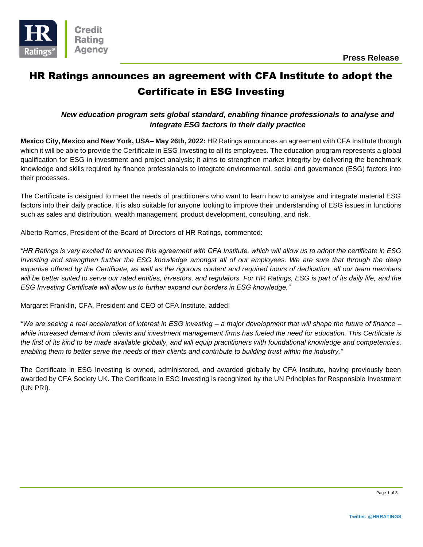

# HR Ratings announces an agreement with CFA Institute to adopt the Certificate in ESG Investing

### *New education program sets global standard, enabling finance professionals to analyse and integrate ESG factors in their daily practice*

**Mexico City, Mexico and New York, USA– May 26th, 2022:** HR Ratings announces an agreement with CFA Institute through which it will be able to provide the Certificate in ESG Investing to all its employees. The education program represents a global qualification for ESG in investment and project analysis; it aims to strengthen market integrity by delivering the benchmark knowledge and skills required by finance professionals to integrate environmental, social and governance (ESG) factors into their processes.

The Certificate is designed to meet the needs of practitioners who want to learn how to analyse and integrate material ESG factors into their daily practice. It is also suitable for anyone looking to improve their understanding of ESG issues in functions such as sales and distribution, wealth management, product development, consulting, and risk.

Alberto Ramos, President of the Board of Directors of HR Ratings, commented:

*"HR Ratings is very excited to announce this agreement with CFA Institute, which will allow us to adopt the certificate in ESG Investing and strengthen further the ESG knowledge amongst all of our employees. We are sure that through the deep expertise offered by the Certificate, as well as the rigorous content and required hours of dedication, all our team members*  will be better suited to serve our rated entities, investors, and regulators. For HR Ratings, ESG is part of its daily life, and the *ESG Investing Certificate will allow us to further expand our borders in ESG knowledge."*

Margaret Franklin, CFA, President and CEO of CFA Institute, added:

*"We are seeing a real acceleration of interest in ESG investing – a major development that will shape the future of finance – while increased demand from clients and investment management firms has fueled the need for education. This Certificate is the first of its kind to be made available globally, and will equip practitioners with foundational knowledge and competencies, enabling them to better serve the needs of their clients and contribute to building trust within the industry."*

The Certificate in ESG Investing is owned, administered, and awarded globally by CFA Institute, having previously been awarded by CFA Society UK. The Certificate in ESG Investing is recognized by the UN Principles for Responsible Investment (UN PRI).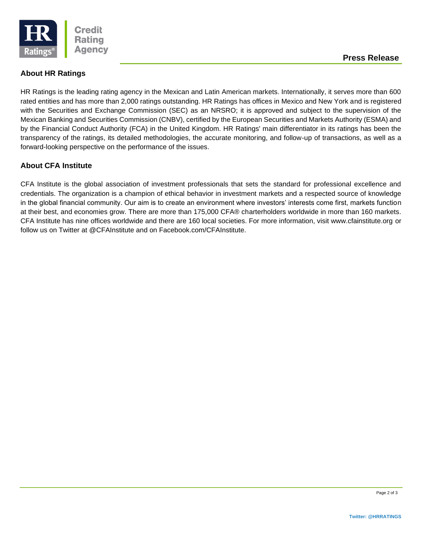

## **About HR Ratings**

HR Ratings is the leading rating agency in the Mexican and Latin American markets. Internationally, it serves more than 600 rated entities and has more than 2,000 ratings outstanding. HR Ratings has offices in Mexico and New York and is registered with the Securities and Exchange Commission (SEC) as an NRSRO; it is approved and subject to the supervision of the Mexican Banking and Securities Commission (CNBV), certified by the European Securities and Markets Authority (ESMA) and by the Financial Conduct Authority (FCA) in the United Kingdom. HR Ratings' main differentiator in its ratings has been the transparency of the ratings, its detailed methodologies, the accurate monitoring, and follow-up of transactions, as well as a forward-looking perspective on the performance of the issues.

## **About CFA Institute**

CFA Institute is the global association of investment professionals that sets the standard for professional excellence and credentials. The organization is a champion of ethical behavior in investment markets and a respected source of knowledge in the global financial community. Our aim is to create an environment where investors' interests come first, markets function at their best, and economies grow. There are more than 175,000 CFA® charterholders worldwide in more than 160 markets. CFA Institute has nine offices worldwide and there are 160 local societies. For more information, visit www.cfainstitute.org or follow us on Twitter at @CFAInstitute and on Facebook.com/CFAInstitute.